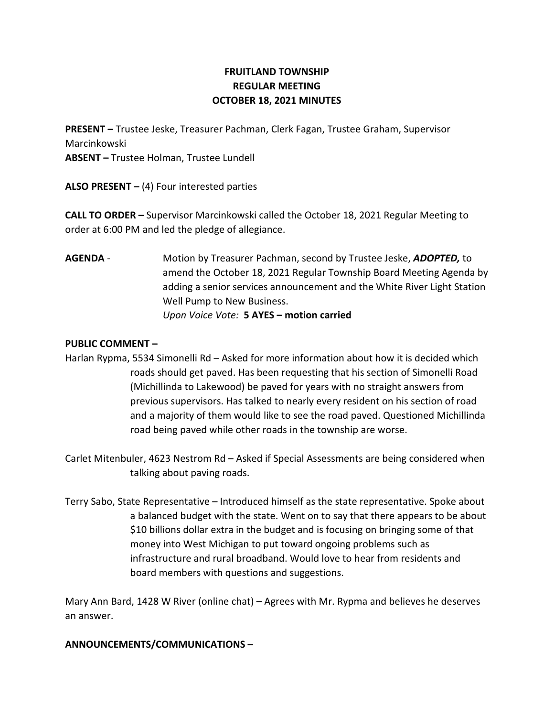# FRUITLAND TOWNSHIP REGULAR MEETING OCTOBER 18, 2021 MINUTES

PRESENT – Trustee Jeske, Treasurer Pachman, Clerk Fagan, Trustee Graham, Supervisor Marcinkowski ABSENT – Trustee Holman, Trustee Lundell

ALSO PRESENT  $-$  (4) Four interested parties

CALL TO ORDER – Supervisor Marcinkowski called the October 18, 2021 Regular Meeting to order at 6:00 PM and led the pledge of allegiance.

AGENDA - Motion by Treasurer Pachman, second by Trustee Jeske, ADOPTED, to amend the October 18, 2021 Regular Township Board Meeting Agenda by adding a senior services announcement and the White River Light Station Well Pump to New Business. Upon Voice Vote: 5 AYES – motion carried

### PUBLIC COMMENT –

Harlan Rypma, 5534 Simonelli Rd – Asked for more information about how it is decided which roads should get paved. Has been requesting that his section of Simonelli Road (Michillinda to Lakewood) be paved for years with no straight answers from previous supervisors. Has talked to nearly every resident on his section of road and a majority of them would like to see the road paved. Questioned Michillinda road being paved while other roads in the township are worse.

Carlet Mitenbuler, 4623 Nestrom Rd – Asked if Special Assessments are being considered when talking about paving roads.

Terry Sabo, State Representative – Introduced himself as the state representative. Spoke about a balanced budget with the state. Went on to say that there appears to be about \$10 billions dollar extra in the budget and is focusing on bringing some of that money into West Michigan to put toward ongoing problems such as infrastructure and rural broadband. Would love to hear from residents and board members with questions and suggestions.

Mary Ann Bard, 1428 W River (online chat) – Agrees with Mr. Rypma and believes he deserves an answer.

## ANNOUNCEMENTS/COMMUNICATIONS –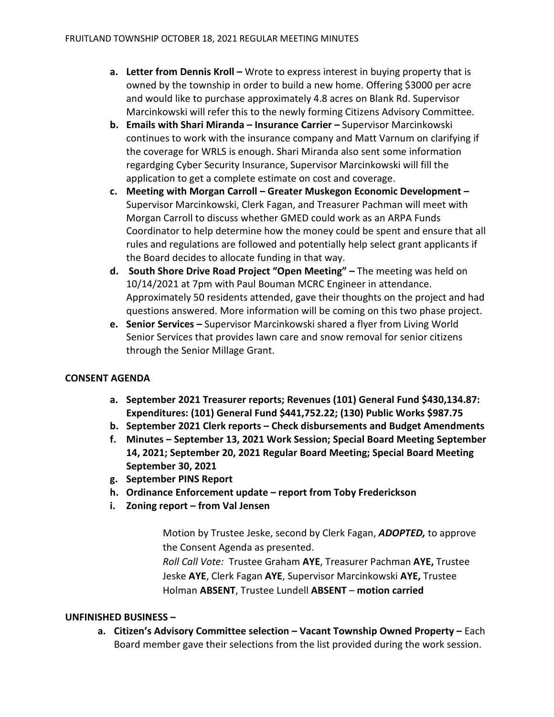- a. Letter from Dennis Kroll Wrote to express interest in buying property that is owned by the township in order to build a new home. Offering \$3000 per acre and would like to purchase approximately 4.8 acres on Blank Rd. Supervisor Marcinkowski will refer this to the newly forming Citizens Advisory Committee.
- b. Emails with Shari Miranda Insurance Carrier Supervisor Marcinkowski continues to work with the insurance company and Matt Varnum on clarifying if the coverage for WRLS is enough. Shari Miranda also sent some information regardging Cyber Security Insurance, Supervisor Marcinkowski will fill the application to get a complete estimate on cost and coverage.
- c. Meeting with Morgan Carroll Greater Muskegon Economic Development Supervisor Marcinkowski, Clerk Fagan, and Treasurer Pachman will meet with Morgan Carroll to discuss whether GMED could work as an ARPA Funds Coordinator to help determine how the money could be spent and ensure that all rules and regulations are followed and potentially help select grant applicants if the Board decides to allocate funding in that way.
- d. South Shore Drive Road Project "Open Meeting" The meeting was held on 10/14/2021 at 7pm with Paul Bouman MCRC Engineer in attendance. Approximately 50 residents attended, gave their thoughts on the project and had questions answered. More information will be coming on this two phase project.
- e. Senior Services Supervisor Marcinkowski shared a flyer from Living World Senior Services that provides lawn care and snow removal for senior citizens through the Senior Millage Grant.

## CONSENT AGENDA

- a. September 2021 Treasurer reports; Revenues (101) General Fund \$430,134.87: Expenditures: (101) General Fund \$441,752.22; (130) Public Works \$987.75
- b. September 2021 Clerk reports Check disbursements and Budget Amendments
- f. Minutes September 13, 2021 Work Session; Special Board Meeting September 14, 2021; September 20, 2021 Regular Board Meeting; Special Board Meeting September 30, 2021
- g. September PINS Report
- h. Ordinance Enforcement update report from Toby Frederickson
- i. Zoning report from Val Jensen

Motion by Trustee Jeske, second by Clerk Fagan, ADOPTED, to approve the Consent Agenda as presented.

Roll Call Vote: Trustee Graham AYE, Treasurer Pachman AYE, Trustee Jeske AYE, Clerk Fagan AYE, Supervisor Marcinkowski AYE, Trustee Holman ABSENT, Trustee Lundell ABSENT – motion carried

#### UNFINISHED BUSINESS –

a. Citizen's Advisory Committee selection – Vacant Township Owned Property – Each Board member gave their selections from the list provided during the work session.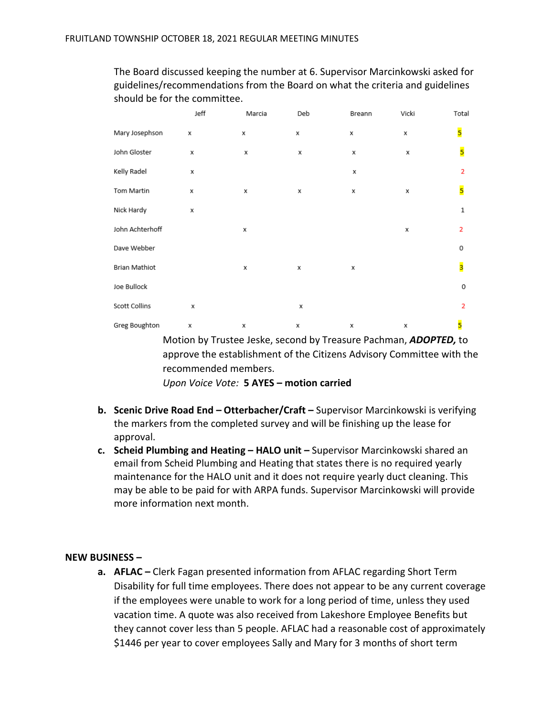|                 | Jeff | Marcia | Deb | Breann | Vicki | Total          |
|-----------------|------|--------|-----|--------|-------|----------------|
| Mary Josephson  | x    | х      | x   | x      | x     | 5              |
| John Gloster    | х    | x      | x   | x      | x     | 5              |
| Kelly Radel     | x    |        |     | х      |       | $\overline{2}$ |
| Tom Martin      | x    | x      | x   | x      | x     | 5              |
| Nick Hardy      | х    |        |     |        |       | $\,1$          |
| John Achterhoff |      | х      |     |        | х     | $\overline{2}$ |
| Dave Webber     |      |        |     |        |       | 0              |
| Brian Mathiot   |      | x      | x   | x      |       | 3              |
| Joe Bullock     |      |        |     |        |       | 0              |
| Scott Collins   | x    |        | x   |        |       | $\overline{2}$ |
| Greg Boughton   | x    | x      | x   | x      | x     | 5              |

The Board discussed keeping the number at 6. Supervisor Marcinkowski asked for guidelines/recommendations from the Board on what the criteria and guidelines should be for the committee.

> Motion by Trustee Jeske, second by Treasure Pachman, ADOPTED, to approve the establishment of the Citizens Advisory Committee with the recommended members.

Upon Voice Vote: 5 AYES – motion carried

- b. Scenic Drive Road End Otterbacher/Craft Supervisor Marcinkowski is verifying the markers from the completed survey and will be finishing up the lease for approval.
- c. Scheid Plumbing and Heating HALO unit Supervisor Marcinkowski shared an email from Scheid Plumbing and Heating that states there is no required yearly maintenance for the HALO unit and it does not require yearly duct cleaning. This may be able to be paid for with ARPA funds. Supervisor Marcinkowski will provide more information next month.

#### NEW BUSINESS –

a. AFLAC – Clerk Fagan presented information from AFLAC regarding Short Term Disability for full time employees. There does not appear to be any current coverage if the employees were unable to work for a long period of time, unless they used vacation time. A quote was also received from Lakeshore Employee Benefits but they cannot cover less than 5 people. AFLAC had a reasonable cost of approximately \$1446 per year to cover employees Sally and Mary for 3 months of short term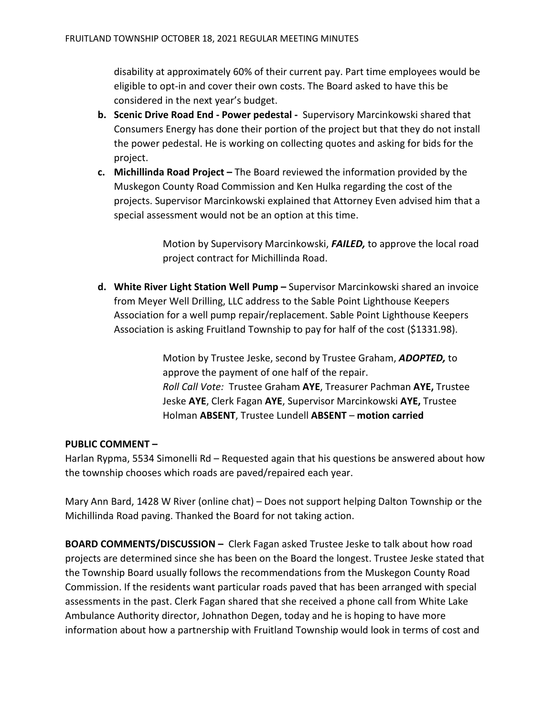disability at approximately 60% of their current pay. Part time employees would be eligible to opt-in and cover their own costs. The Board asked to have this be considered in the next year's budget.

- b. Scenic Drive Road End Power pedestal Supervisory Marcinkowski shared that Consumers Energy has done their portion of the project but that they do not install the power pedestal. He is working on collecting quotes and asking for bids for the project.
- c. Michillinda Road Project The Board reviewed the information provided by the Muskegon County Road Commission and Ken Hulka regarding the cost of the projects. Supervisor Marcinkowski explained that Attorney Even advised him that a special assessment would not be an option at this time.

Motion by Supervisory Marcinkowski, FAILED, to approve the local road project contract for Michillinda Road.

d. White River Light Station Well Pump – Supervisor Marcinkowski shared an invoice from Meyer Well Drilling, LLC address to the Sable Point Lighthouse Keepers Association for a well pump repair/replacement. Sable Point Lighthouse Keepers Association is asking Fruitland Township to pay for half of the cost (\$1331.98).

> Motion by Trustee Jeske, second by Trustee Graham, ADOPTED, to approve the payment of one half of the repair. Roll Call Vote: Trustee Graham AYE, Treasurer Pachman AYE, Trustee Jeske AYE, Clerk Fagan AYE, Supervisor Marcinkowski AYE, Trustee Holman ABSENT, Trustee Lundell ABSENT – motion carried

#### PUBLIC COMMENT –

Harlan Rypma, 5534 Simonelli Rd – Requested again that his questions be answered about how the township chooses which roads are paved/repaired each year.

Mary Ann Bard, 1428 W River (online chat) – Does not support helping Dalton Township or the Michillinda Road paving. Thanked the Board for not taking action.

BOARD COMMENTS/DISCUSSION – Clerk Fagan asked Trustee Jeske to talk about how road projects are determined since she has been on the Board the longest. Trustee Jeske stated that the Township Board usually follows the recommendations from the Muskegon County Road Commission. If the residents want particular roads paved that has been arranged with special assessments in the past. Clerk Fagan shared that she received a phone call from White Lake Ambulance Authority director, Johnathon Degen, today and he is hoping to have more information about how a partnership with Fruitland Township would look in terms of cost and